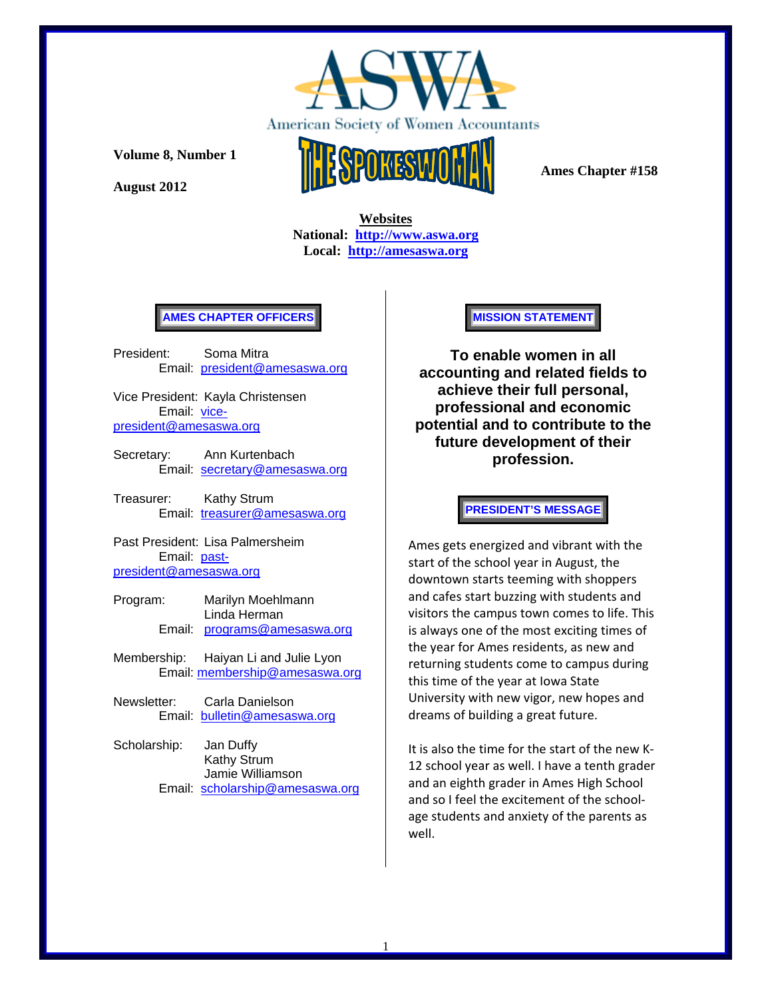

**August 2012** 



 **Ames Chapter #158** 

 **Websites National: http://www.aswa.org Local: http://amesaswa.org**

## **AMES CHAPTER OFFICERS**

President: Soma Mitra Email: president@amesaswa.org

Vice President: Kayla Christensen Email: vicepresident@amesaswa.org

- Secretary: Ann Kurtenbach Email: secretary@amesaswa.org
- Treasurer: Kathy Strum Email: treasurer@amesaswa.org

Past President: Lisa Palmersheim Email: pastpresident@amesaswa.org

- Program: Marilyn Moehlmann Linda Herman Email: programs@amesaswa.org
- Membership: Haiyan Li and Julie Lyon Email: membership@amesaswa.org
- Newsletter: Carla Danielson Email: bulletin@amesaswa.org
- Scholarship: Jan Duffy Kathy Strum Jamie Williamson Email: scholarship@amesaswa.org

#### **MISSION STATEMENT**

**To enable women in all accounting and related fields to achieve their full personal, professional and economic potential and to contribute to the future development of their profession.**

#### **PRESIDENT'S MESSAGE**

Ames gets energized and vibrant with the start of the school year in August, the downtown starts teeming with shoppers and cafes start buzzing with students and visitors the campus town comes to life. This is always one of the most exciting times of the year for Ames residents, as new and returning students come to campus during this time of the year at Iowa State University with new vigor, new hopes and dreams of building a great future.

It is also the time for the start of the new K‐ 12 school year as well. I have a tenth grader and an eighth grader in Ames High School and so I feel the excitement of the school‐ age students and anxiety of the parents as well.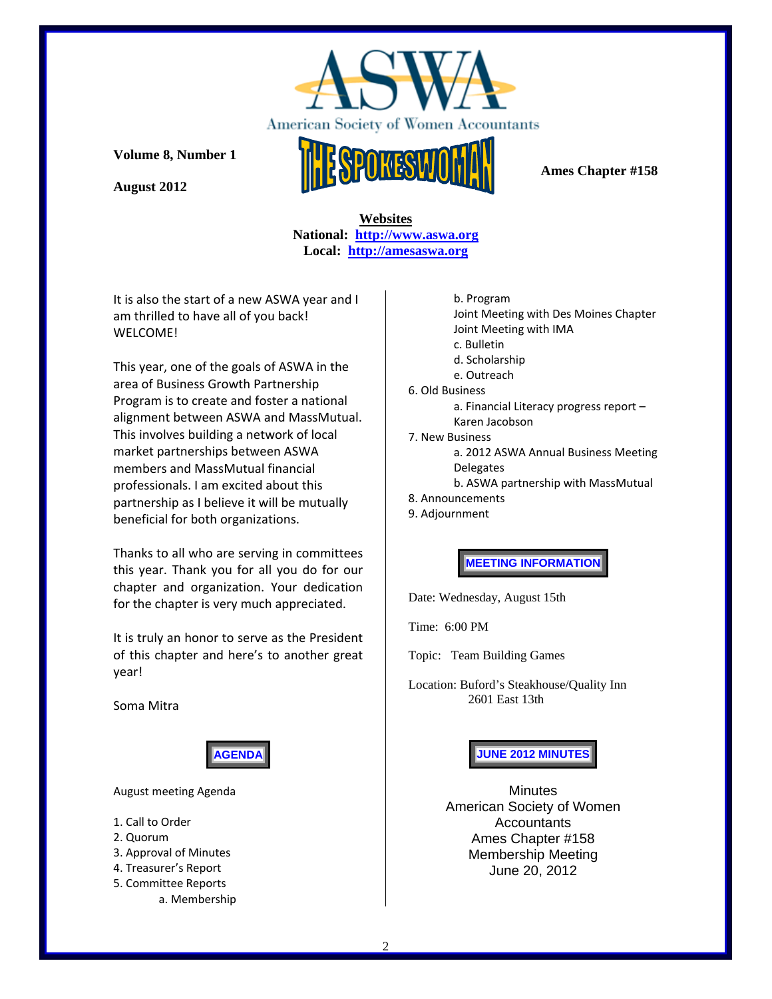

**August 2012** 



 **Ames Chapter #158** 

 **Websites National: http://www.aswa.org Local: http://amesaswa.org**

It is also the start of a new ASWA year and I am thrilled to have all of you back! WELCOME!

This year, one of the goals of ASWA in the area of Business Growth Partnership Program is to create and foster a national alignment between ASWA and MassMutual. This involves building a network of local market partnerships between ASWA members and MassMutual financial professionals. I am excited about this partnership as I believe it will be mutually beneficial for both organizations.

Thanks to all who are serving in committees this year. Thank you for all you do for our chapter and organization. Your dedication for the chapter is very much appreciated.

It is truly an honor to serve as the President of this chapter and here's to another great year!

Soma Mitra



August meeting Agenda

- 1. Call to Order
- 2. Quorum
- 3. Approval of Minutes
- 4. Treasurer's Report
- 5. Committee Reports a. Membership

b. Program Joint Meeting with Des Moines Chapter Joint Meeting with IMA c. Bulletin d. Scholarship e. Outreach 6. Old Business a. Financial Literacy progress report – Karen Jacobson 7. New Business a. 2012 ASWA Annual Business Meeting **Delegates** b. ASWA partnership with MassMutual 8. Announcements

9. Adjournment

**MEETING INFORMATION** 

Date: Wednesday, August 15th

Time: 6:00 PM

Topic: Team Building Games

Location: Buford's Steakhouse/Quality Inn 2601 East 13th

**JUNE 2012 MINUTES**

**Minutes** American Society of Women Accountants Ames Chapter #158 Membership Meeting June 20, 2012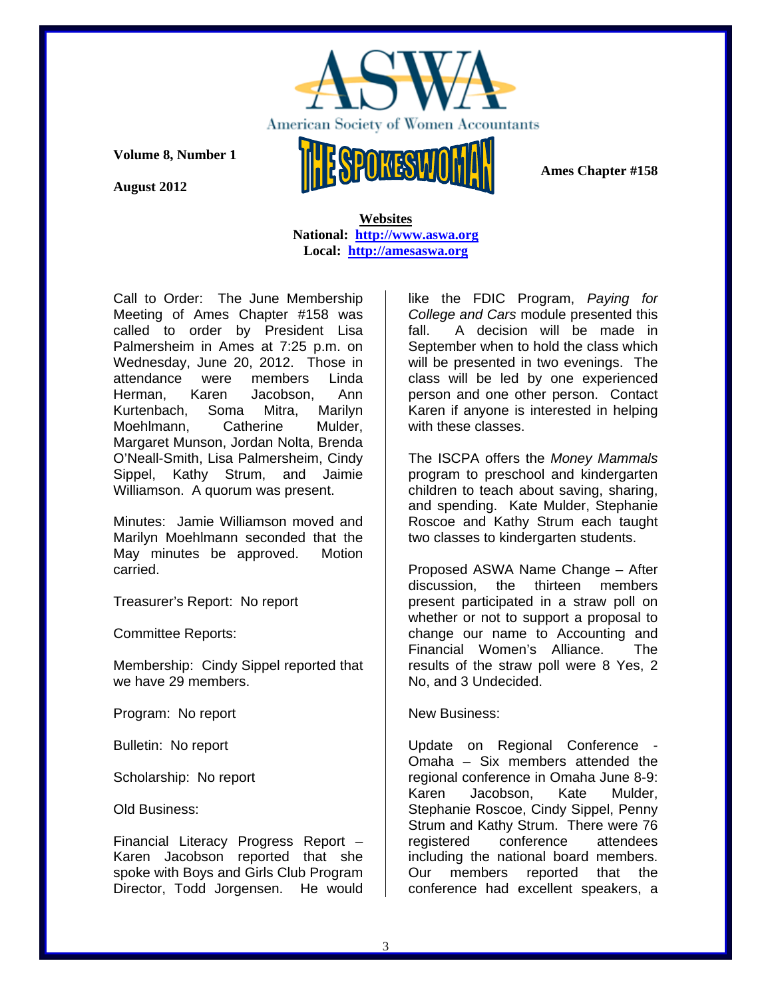

**August 2012** 

 **Websites National: http://www.aswa.org Local: http://amesaswa.org**

Call to Order: The June Membership Meeting of Ames Chapter #158 was called to order by President Lisa Palmersheim in Ames at 7:25 p.m. on Wednesday, June 20, 2012. Those in attendance were members Linda Herman, Karen Jacobson, Ann Kurtenbach, Soma Mitra, Marilyn Moehlmann, Catherine Mulder, Margaret Munson, Jordan Nolta, Brenda O'Neall-Smith, Lisa Palmersheim, Cindy Sippel, Kathy Strum, and Jaimie Williamson. A quorum was present.

Minutes: Jamie Williamson moved and Marilyn Moehlmann seconded that the May minutes be approved. Motion carried.

Treasurer's Report: No report

Committee Reports:

Membership: Cindy Sippel reported that we have 29 members.

Program: No report

Bulletin: No report

Scholarship: No report

Old Business:

Financial Literacy Progress Report – Karen Jacobson reported that she spoke with Boys and Girls Club Program Director, Todd Jorgensen. He would like the FDIC Program, *Paying for College and Cars* module presented this fall. A decision will be made in September when to hold the class which will be presented in two evenings. The class will be led by one experienced person and one other person. Contact Karen if anyone is interested in helping with these classes.

The ISCPA offers the *Money Mammals* program to preschool and kindergarten children to teach about saving, sharing, and spending. Kate Mulder, Stephanie Roscoe and Kathy Strum each taught two classes to kindergarten students.

Proposed ASWA Name Change – After discussion, the thirteen members present participated in a straw poll on whether or not to support a proposal to change our name to Accounting and Financial Women's Alliance. The results of the straw poll were 8 Yes, 2 No, and 3 Undecided.

## New Business:

Update on Regional Conference - Omaha – Six members attended the regional conference in Omaha June 8-9: Karen Jacobson, Kate Mulder, Stephanie Roscoe, Cindy Sippel, Penny Strum and Kathy Strum. There were 76 registered conference attendees including the national board members. Our members reported that the conference had excellent speakers, a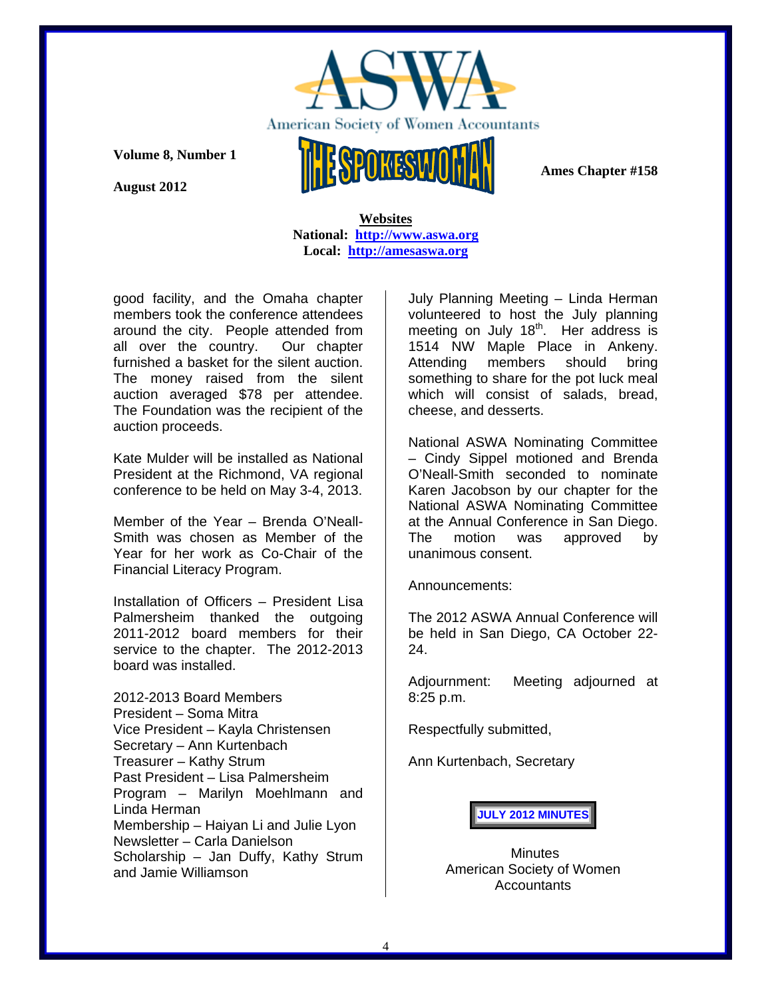

**August 2012** 

 **Websites National: http://www.aswa.org Local: http://amesaswa.org**

good facility, and the Omaha chapter members took the conference attendees around the city. People attended from all over the country. Our chapter furnished a basket for the silent auction. The money raised from the silent auction averaged \$78 per attendee. The Foundation was the recipient of the auction proceeds.

Kate Mulder will be installed as National President at the Richmond, VA regional conference to be held on May 3-4, 2013.

Member of the Year – Brenda O'Neall-Smith was chosen as Member of the Year for her work as Co-Chair of the Financial Literacy Program.

Installation of Officers – President Lisa Palmersheim thanked the outgoing 2011-2012 board members for their service to the chapter. The 2012-2013 board was installed.

2012-2013 Board Members President – Soma Mitra Vice President – Kayla Christensen Secretary – Ann Kurtenbach Treasurer – Kathy Strum Past President – Lisa Palmersheim Program – Marilyn Moehlmann and Linda Herman Membership – Haiyan Li and Julie Lyon Newsletter – Carla Danielson Scholarship – Jan Duffy, Kathy Strum and Jamie Williamson

July Planning Meeting – Linda Herman volunteered to host the July planning meeting on July  $18<sup>th</sup>$ . Her address is 1514 NW Maple Place in Ankeny. Attending members should bring something to share for the pot luck meal which will consist of salads, bread, cheese, and desserts.

National ASWA Nominating Committee – Cindy Sippel motioned and Brenda O'Neall-Smith seconded to nominate Karen Jacobson by our chapter for the National ASWA Nominating Committee at the Annual Conference in San Diego. The motion was approved by unanimous consent.

Announcements:

The 2012 ASWA Annual Conference will be held in San Diego, CA October 22- 24.

Adjournment: Meeting adjourned at 8:25 p.m.

Respectfully submitted,

Ann Kurtenbach, Secretary

**JULY 2012 MINUTES**

**Minutes** American Society of Women Accountants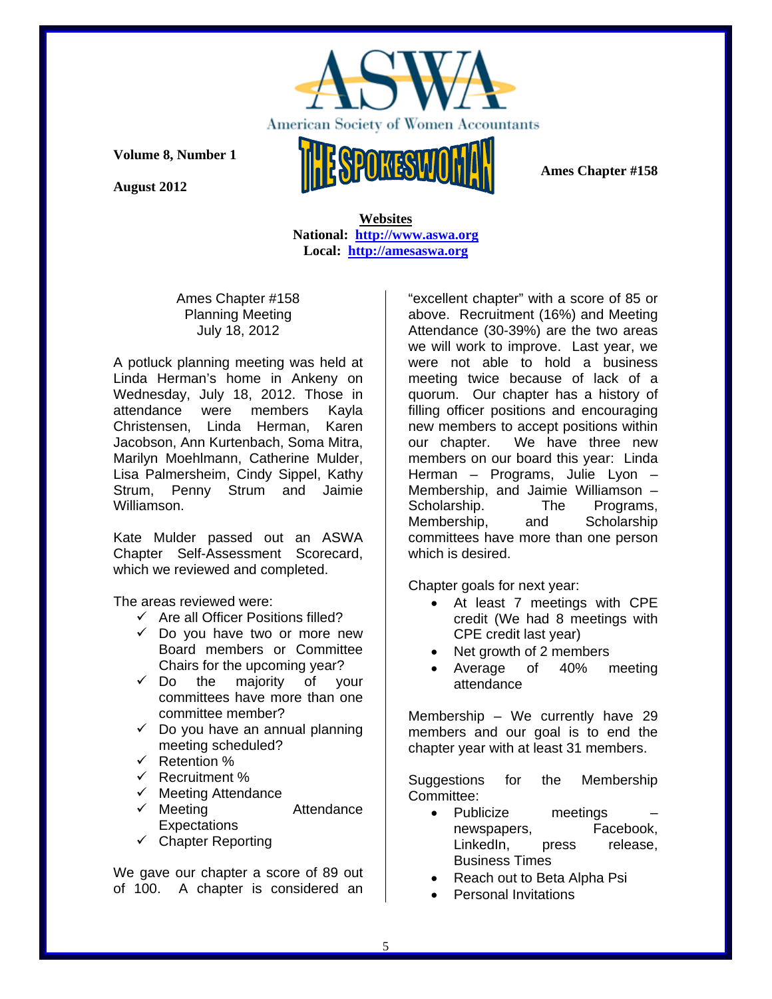

**August 2012** 

 **Ames Chapter #158** 

 **Websites National: http://www.aswa.org Local: http://amesaswa.org**

Ames Chapter #158 Planning Meeting July 18, 2012

A potluck planning meeting was held at Linda Herman's home in Ankeny on Wednesday, July 18, 2012. Those in attendance were members Kayla Christensen, Linda Herman, Karen Jacobson, Ann Kurtenbach, Soma Mitra, Marilyn Moehlmann, Catherine Mulder, Lisa Palmersheim, Cindy Sippel, Kathy Strum, Penny Strum and Jaimie Williamson.

Kate Mulder passed out an ASWA Chapter Self-Assessment Scorecard, which we reviewed and completed.

The areas reviewed were:

- $\checkmark$  Are all Officer Positions filled?
- $\checkmark$  Do you have two or more new Board members or Committee Chairs for the upcoming year?<br> $\checkmark$  Do the maiority of vo
- the majority of your committees have more than one committee member?
- $\checkmark$  Do you have an annual planning meeting scheduled?
- $\checkmark$  Retention %
- $\checkmark$  Recruitment %
- $\checkmark$  Meeting Attendance
- **✓** Meeting Attendance **Expectations**
- $\checkmark$  Chapter Reporting

We gave our chapter a score of 89 out of 100. A chapter is considered an "excellent chapter" with a score of 85 or above. Recruitment (16%) and Meeting Attendance (30-39%) are the two areas we will work to improve. Last year, we were not able to hold a business meeting twice because of lack of a quorum. Our chapter has a history of filling officer positions and encouraging new members to accept positions within our chapter. We have three new members on our board this year: Linda Herman – Programs, Julie Lyon – Membership, and Jaimie Williamson – Scholarship. The Programs, Membership, and Scholarship committees have more than one person which is desired.

Chapter goals for next year:

- At least 7 meetings with CPE credit (We had 8 meetings with CPE credit last year)
- Net growth of 2 members
- Average of 40% meeting attendance

Membership – We currently have 29 members and our goal is to end the chapter year with at least 31 members.

Suggestions for the Membership Committee:

- Publicize meetings newspapers, Facebook, LinkedIn, press release, Business Times
- Reach out to Beta Alpha Psi
- Personal Invitations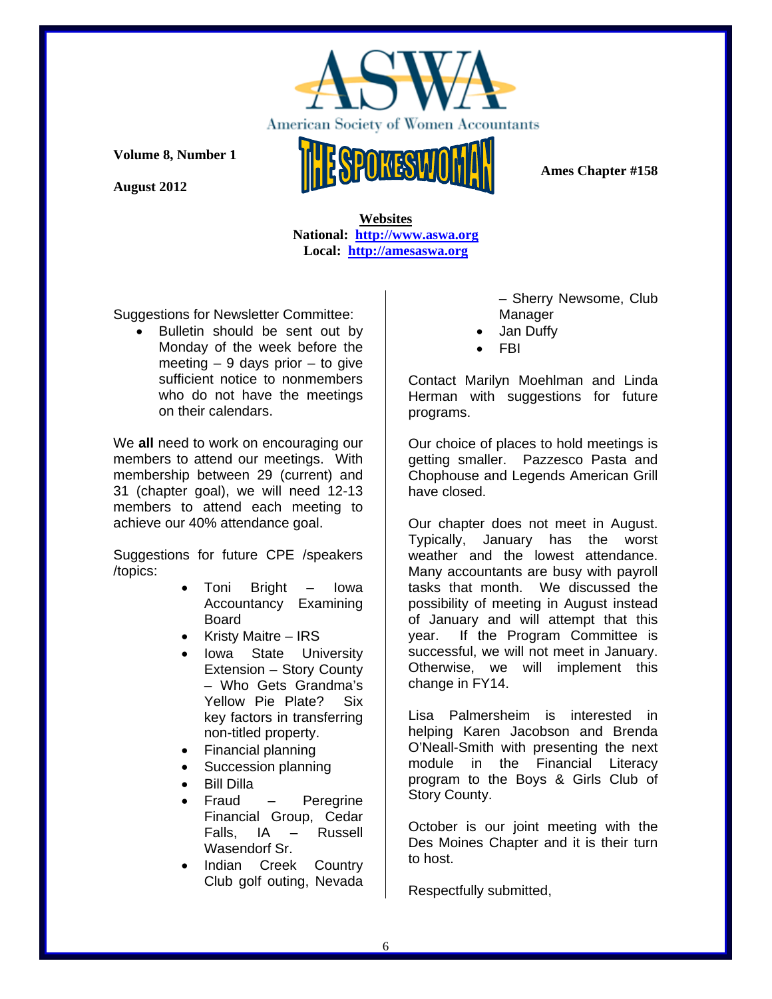

**August 2012** 



 **Ames Chapter #158** 

 **Websites National: http://www.aswa.org Local: http://amesaswa.org**

Suggestions for Newsletter Committee:

 Bulletin should be sent out by Monday of the week before the meeting  $-9$  days prior  $-$  to give sufficient notice to nonmembers who do not have the meetings on their calendars.

We **all** need to work on encouraging our members to attend our meetings. With membership between 29 (current) and 31 (chapter goal), we will need 12-13 members to attend each meeting to achieve our 40% attendance goal.

Suggestions for future CPE /speakers /topics:

- Toni Bright Iowa Accountancy Examining Board
- Kristy Maitre IRS
- Iowa State University Extension – Story County – Who Gets Grandma's Yellow Pie Plate? Six key factors in transferring non-titled property.
- Financial planning
- Succession planning
- Bill Dilla
- Fraud Peregrine Financial Group, Cedar Falls, IA – Russell Wasendorf Sr.
- Indian Creek Country Club golf outing, Nevada

– Sherry Newsome, Club Manager

- Jan Duffy
- FBI

Contact Marilyn Moehlman and Linda Herman with suggestions for future programs.

Our choice of places to hold meetings is getting smaller. Pazzesco Pasta and Chophouse and Legends American Grill have closed.

Our chapter does not meet in August. Typically, January has the worst weather and the lowest attendance. Many accountants are busy with payroll tasks that month. We discussed the possibility of meeting in August instead of January and will attempt that this year. If the Program Committee is successful, we will not meet in January. Otherwise, we will implement this change in FY14.

Lisa Palmersheim is interested in helping Karen Jacobson and Brenda O'Neall-Smith with presenting the next module in the Financial Literacy program to the Boys & Girls Club of Story County.

October is our joint meeting with the Des Moines Chapter and it is their turn to host.

Respectfully submitted,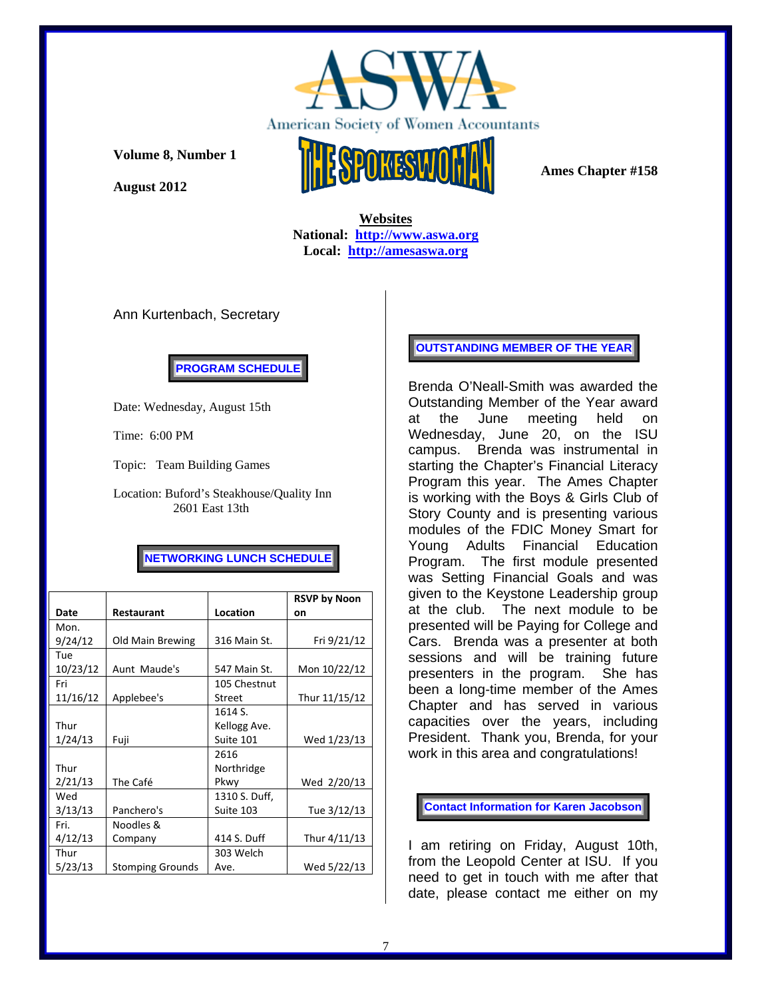

**August 2012** 



 **Websites National: http://www.aswa.org Local: http://amesaswa.org**

Ann Kurtenbach, Secretary

**PROGRAM SCHEDULE** 

Date: Wednesday, August 15th

Time: 6:00 PM

Topic: Team Building Games

Location: Buford's Steakhouse/Quality Inn 2601 East 13th

# **NETWORKING LUNCH SCHEDULE**

|          |                         |               | <b>RSVP by Noon</b> |
|----------|-------------------------|---------------|---------------------|
| Date     | <b>Restaurant</b>       | Location      | on                  |
| Mon.     |                         |               |                     |
| 9/24/12  | Old Main Brewing        | 316 Main St.  | Fri 9/21/12         |
| Tue      |                         |               |                     |
| 10/23/12 | Aunt Maude's            | 547 Main St.  | Mon 10/22/12        |
| Fri      |                         | 105 Chestnut  |                     |
| 11/16/12 | Applebee's              | Street        | Thur 11/15/12       |
|          |                         | 1614 S.       |                     |
| Thur     |                         | Kellogg Ave.  |                     |
| 1/24/13  | Fuji                    | Suite 101     | Wed 1/23/13         |
|          |                         | 2616          |                     |
| Thur     |                         | Northridge    |                     |
| 2/21/13  | The Café                | Pkwy          | Wed 2/20/13         |
| Wed      |                         | 1310 S. Duff, |                     |
| 3/13/13  | Panchero's              | Suite 103     | Tue 3/12/13         |
| Fri.     | Noodles &               |               |                     |
| 4/12/13  | Company                 | 414 S. Duff   | Thur 4/11/13        |
| Thur     |                         | 303 Welch     |                     |
| 5/23/13  | <b>Stomping Grounds</b> | Ave.          | Wed 5/22/13         |

## **OUTSTANDING MEMBER OF THE YEAR**

Brenda O'Neall-Smith was awarded the Outstanding Member of the Year award at the June meeting held on Wednesday, June 20, on the ISU campus. Brenda was instrumental in starting the Chapter's Financial Literacy Program this year. The Ames Chapter is working with the Boys & Girls Club of Story County and is presenting various modules of the FDIC Money Smart for Young Adults Financial Education Program. The first module presented was Setting Financial Goals and was given to the Keystone Leadership group at the club. The next module to be presented will be Paying for College and Cars. Brenda was a presenter at both sessions and will be training future presenters in the program. She has been a long-time member of the Ames Chapter and has served in various capacities over the years, including President. Thank you, Brenda, for your work in this area and congratulations!

**Contact Information for Karen Jacobson** 

I am retiring on Friday, August 10th, from the Leopold Center at ISU. If you need to get in touch with me after that date, please contact me either on my